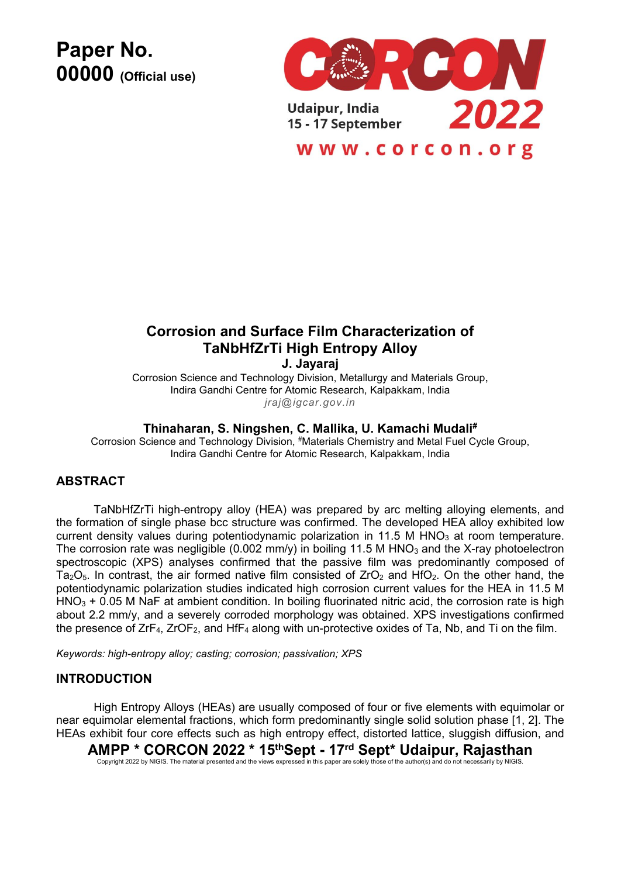**Paper No. 00000 (Official use)**



# **Corrosion and Surface Film Characterization of TaNbHfZrTi High Entropy Alloy**

**J. Jayaraj**

Corrosion Science and Technology Division, Metallurgy and Materials Group, Indira Gandhi Centre for Atomic Research, Kalpakkam, India *jraj@igcar.gov.in*

# **Thinaharan, S. Ningshen, C. Mallika, U. Kamachi Mudali#**

Corrosion Science and Technology Division, #Materials Chemistry and Metal Fuel Cycle Group, Indira Gandhi Centre for Atomic Research, Kalpakkam, India

# **ABSTRACT**

TaNbHfZrTi high-entropy alloy (HEA) was prepared by arc melting alloying elements, and the formation of single phase bcc structure was confirmed. The developed HEA alloy exhibited low current density values during potentiodynamic polarization in 11.5 M HNO<sub>3</sub> at room temperature. The corrosion rate was negligible (0.002 mm/y) in boiling 11.5 M HNO<sub>3</sub> and the X-ray photoelectron spectroscopic (XPS) analyses confirmed that the passive film was predominantly composed of Ta<sub>2</sub>O<sub>5</sub>. In contrast, the air formed native film consisted of  $ZrO<sub>2</sub>$  and HfO<sub>2</sub>. On the other hand, the potentiodynamic polarization studies indicated high corrosion current values for the HEA in 11.5 M  $HNO<sub>3</sub> + 0.05 M NaF$  at ambient condition. In boiling fluorinated nitric acid, the corrosion rate is high about 2.2 mm/y, and a severely corroded morphology was obtained. XPS investigations confirmed the presence of  $ZrF_4$ ,  $ZrOF_2$ , and HfF<sub>4</sub> along with un-protective oxides of Ta, Nb, and Ti on the film.

*Keywords: high-entropy alloy; casting; corrosion; passivation; XPS*

#### **INTRODUCTION**

High Entropy Alloys (HEAs) are usually composed of four or five elements with equimolar or near equimolar elemental fractions, which form predominantly single solid solution phase [1, 2]. The HEAs exhibit four core effects such as high entropy effect, distorted lattice, sluggish diffusion, and

**AMPP \* CORCON 2022 \* 15 thSept - 17 rd Sept\* Udaipur, Rajasthan**

Copyright 2022 by NIGIS. The material presented and the views expressed in this paper are solely those of the author(s)and do not necessarily by NIGIS.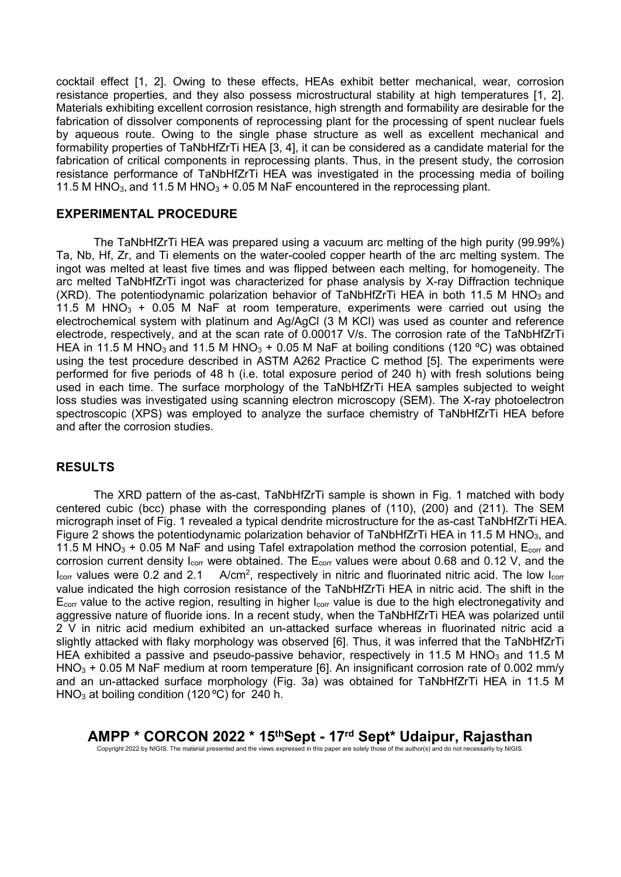cocktail effect [1, 2]. Owing to these effects, HEAs exhibit better mechanical, wear, corrosion resistance properties, and they also possess microstructural stability at high temperatures [1, 2]. Materials exhibiting excellent corrosion resistance, high strength and formability are desirable for the fabrication of dissolver components of reprocessing plant for the processing of spent nuclear fuels by aqueous route. Owing to the single phase structure as well as excellent mechanical and formability properties of TaNbHfZrTi HEA [3, 4], it can be considered as a candidate material for the fabrication of critical components in reprocessing plants. Thus, in the present study, the corrosion resistance performance of TaNbHfZrTi HEA was investigated in the processing media of boiling 11.5 M HNO<sub>3</sub>, and 11.5 M HNO<sub>3</sub> + 0.05 M NaF encountered in the reprocessing plant.

### **EXPERIMENTAL PROCEDURE**

The TaNbHfZrTi HEA was prepared using a vacuum arc melting of the high purity (99.99%) Ta, Nb, Hf, Zr, and Ti elements on the water-cooled copper hearth of the arc melting system. The ingot was melted at least five times and was flipped between each melting, for homogeneity. The arc melted TaNbHfZrTi ingot was characterized for phase analysis by X-ray Diffraction technique (XRD). The potentiodynamic polarization behavior of TaNbHfZrTi HEA in both 11.5 M HNO<sub>3</sub> and 11.5 M HNO $_3$  + 0.05 M NaF at room temperature, experiments were carried out using the electrochemical system with platinum and Ag/AgCl (3 M KCl) was used as counter and reference electrode, respectively, and at the scan rate of 0.00017 V/s. The corrosion rate of the TaNbHfZrTi HEA in 11.5 M HNO<sub>3</sub> and 11.5 M HNO<sub>3</sub> + 0.05 M NaF at boiling conditions (120 °C) was obtained using the test procedure described in ASTM A262 Practice C method [5]. The experiments were performed for five periods of 48 h (i.e. total exposure period of 240 h) with fresh solutions being used in each time. The surface morphology of the TaNbHfZrTi HEA samples subjected to weight loss studies was investigated using scanning electron microscopy (SEM). The X-ray photoelectron spectroscopic (XPS) was employed to analyze the surface chemistry of TaNbHfZrTi HEA before and after the corrosion studies.

#### **RESULTS**

The XRD pattern of the as-cast, TaNbHfZrTi sample is shown in Fig. 1 matched with body centered cubic (bcc) phase with the corresponding planes of (110), (200) and (211). The SEM micrograph inset of Fig. 1 revealed a typical dendrite microstructure for the as-cast TaNbHfZrTi HEA. Figure 2 shows the potentiodynamic polarization behavior of TaNbHfZrTi HEA in 11.5 M HNO<sub>3</sub>, and 11.5 M HNO<sub>3</sub> + 0.05 M NaF and using Tafel extrapolation method the corrosion potential,  $E_{corr}$  and corrosion current density I<sub>corr</sub> were obtained. The E<sub>corr</sub> values were about 0.68 and 0.12 V, and the  $I_{corr}$  values were 0.2 and 2.1  $A/cm<sup>2</sup>$ , respectively in nitric and fluorinated nitric acid. The low  $I_{corr}$ value indicated the high corrosion resistance of the TaNbHfZrTi HEA in nitric acid. The shift in the  $E_{\text{corr}}$  value to the active region, resulting in higher  $I_{\text{corr}}$  value is due to the high electronegativity and aggressive nature of fluoride ions. In a recent study, when the TaNbHfZrTi HEA was polarized until 2 V in nitric acid medium exhibited an un-attacked surface whereas in fluorinated nitric acid a slightly attacked with flaky morphology was observed [6]. Thus, it was inferred that the TaNbHfZrTi HEA exhibited a passive and pseudo-passive behavior, respectively in 11.5 M HNO<sub>3</sub> and 11.5 M  $HNO<sub>3</sub> + 0.05 M NaF$  medium at room temperature [6]. An insignificant corrosion rate of 0.002 mm/y and an un-attacked surface morphology (Fig. 3a) was obtained for TaNbHfZrTi HEA in 11.5 M HNO<sub>3</sub> at boiling condition (120 °C) for 240 h.

**AMPP \* CORCON 2022 \* 15 thSept - 17 rd Sept\* Udaipur, Rajasthan** Copyright 2022 by NIGIS. The material presented and the views expressed in this paper are solely those of the author(s)and do not necessarily by NIGIS.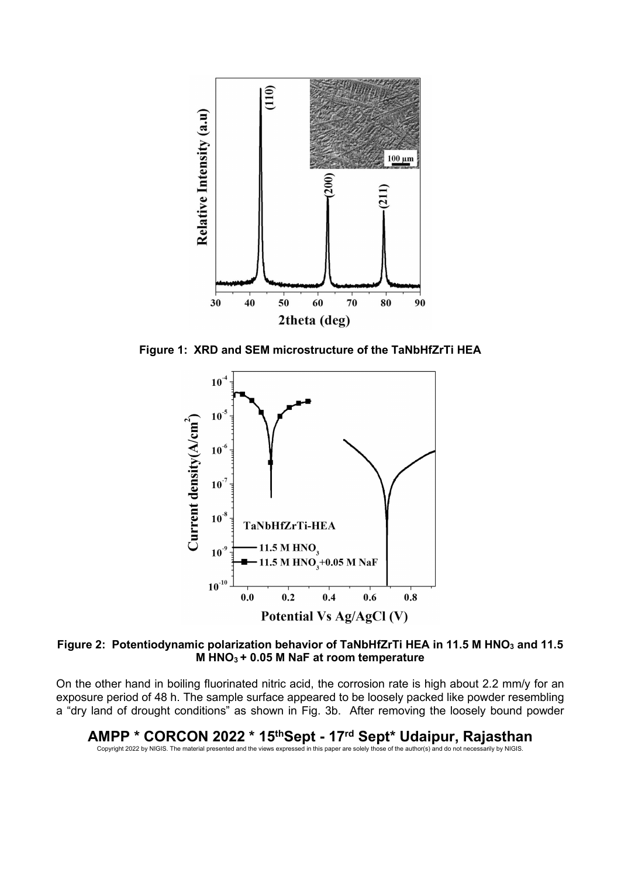

**Figure 1: XRD and SEM microstructure of the TaNbHfZrTi HEA**



**Figure 2: Potentiodynamic polarization behavior of TaNbHfZrTi HEA in 11.5 M HNO<sup>3</sup> and 11.5 M HNO<sup>3</sup> + 0.05 M NaF at room temperature**

On the other hand in boiling fluorinated nitric acid, the corrosion rate is high about 2.2 mm/y for an exposure period of 48 h. The sample surface appeared to be loosely packed like powder resembling a "dry land of drought conditions" as shown in Fig. 3b. After removing the loosely bound powder

**AMPP \* CORCON 2022 \* 15 thSept - 17 rd Sept\* Udaipur, Rajasthan** Copyright 2022 by NIGIS. The material presented and the views expressed in this paper are solely those of the author(s)and do not necessarily by NIGIS.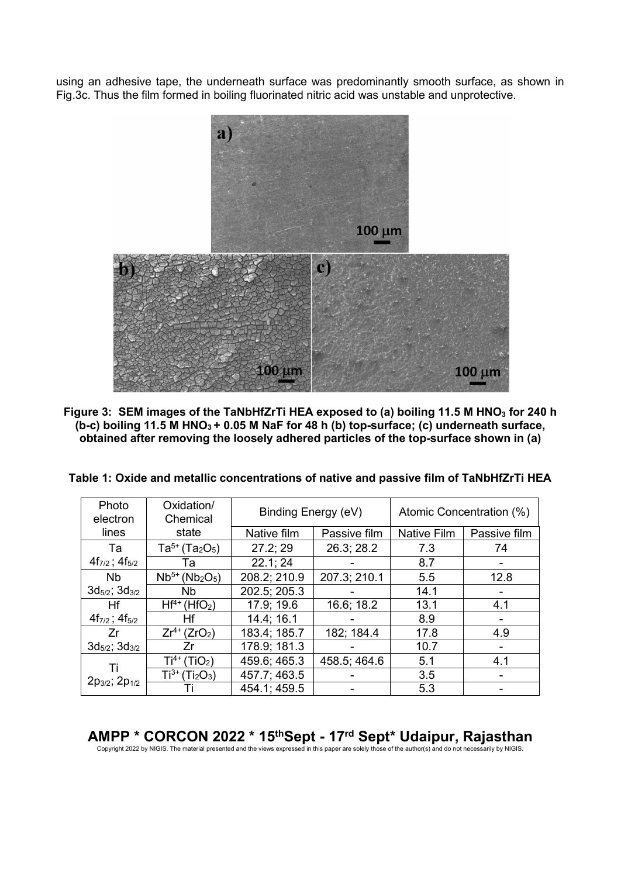using an adhesive tape, the underneath surface was predominantly smooth surface, as shown in Fig.3c. Thus the film formed in boiling fluorinated nitric acid was unstable and unprotective.



**Figure 3: SEM images of the TaNbHfZrTi HEA exposed to (a) boiling 11.5 M HNO<sup>3</sup> for 240 h (b-c) boiling 11.5 M HNO<sup>3</sup> + 0.05 M NaF for 48 h (b) top-surface; (c) underneath surface, obtained after removing the loosely adhered particles of the top-surface shown in (a)**

| Table 1: Oxide and metallic concentrations of native and passive film of TaNbHfZrTi HEA |
|-----------------------------------------------------------------------------------------|
|-----------------------------------------------------------------------------------------|

| Photo<br>electron             | Oxidation/<br>Chemical                      | Binding Energy (eV) |              | Atomic Concentration (%) |              |
|-------------------------------|---------------------------------------------|---------------------|--------------|--------------------------|--------------|
| lines                         | state                                       | Native film         | Passive film | Native Film              | Passive film |
| Та                            | $Ta^{5+}$ (Ta <sub>2</sub> O <sub>5</sub> ) | 27.2; 29            | 26.3; 28.2   | 7.3                      | 74           |
| $4f_{7/2}$ ; $4f_{5/2}$       | Та                                          | 22.1; 24            |              | 8.7                      |              |
| <b>Nb</b>                     | $Nb^{5+} (Nb_2O_5)$                         | 208.2; 210.9        | 207.3; 210.1 | 5.5                      | 12.8         |
| $3d_{5/2}$ ; $3d_{3/2}$       | Nb.                                         | 202.5; 205.3        |              | 14.1                     |              |
| Hf                            | $Hf^{4+}$ (HfO <sub>2</sub> )               | 17.9; 19.6          | 16.6; 18.2   | 13.1                     | 4.1          |
| $4f_{7/2}$ ; $4f_{5/2}$       | Ηf                                          | 14.4; 16.1          |              | 8.9                      |              |
| Zr                            | $Zr^{4+} (ZrO_2)$                           | 183.4; 185.7        | 182; 184.4   | 17.8                     | 4.9          |
| $3d_{5/2}$ ; $3d_{3/2}$       | Zr                                          | 178.9; 181.3        |              | 10.7                     |              |
| Ti<br>$2p_{3/2}$ ; $2p_{1/2}$ | $Ti^{4+}$ (TiO <sub>2</sub> )               | 459.6; 465.3        | 458.5; 464.6 | 5.1                      | 4.1          |
|                               | $Ti^{3+}$ (Ti <sub>2</sub> O <sub>3</sub> ) | 457.7; 463.5        |              | 3.5                      |              |
|                               |                                             | 454.1; 459.5        |              | 5.3                      |              |

 $\mathsf{AMPP}~^\star$   $\mathsf{CORCON}~2022~^\star~15^\text{th} \text{Sept}$  –  $17^\text{rd}~\text{Sept}^\star$  Udaipur, Rajasthan copyright 2022 by NIGIS. The material presented and the views expressed in this paper are solely those of the author(s) and do not necessa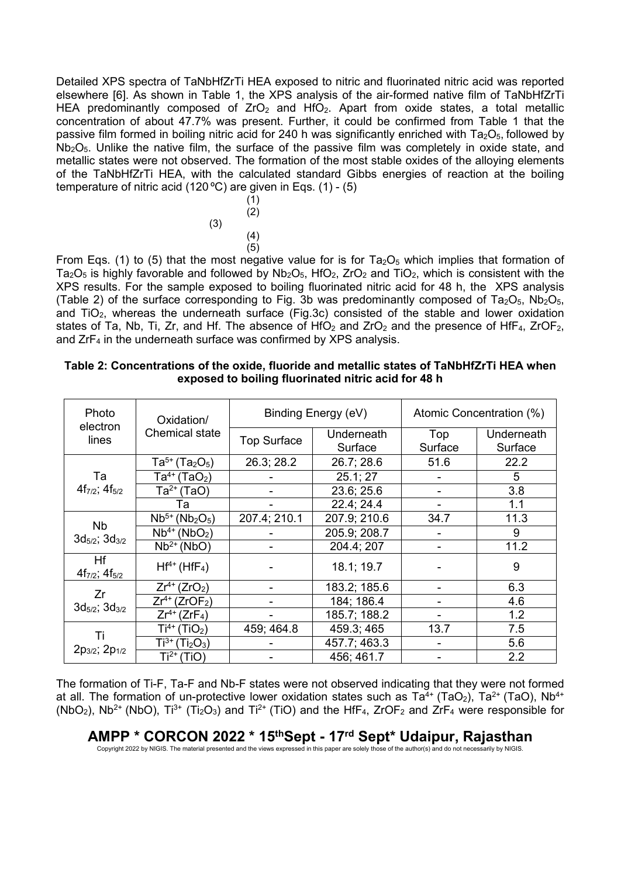Detailed XPS spectra of TaNbHfZrTi HEA exposed to nitric and fluorinated nitric acid was reported elsewhere [6]. As shown in Table 1, the XPS analysis of the air-formed native film of TaNbHfZrTi HEA predominantly composed of  $ZrO<sub>2</sub>$  and  $HfO<sub>2</sub>$ . Apart from oxide states, a total metallic concentration of about 47.7% was present. Further, it could be confirmed from Table 1 that the passive film formed in boiling nitric acid for 240 h was significantly enriched with  $Ta_2O_5$ , followed by  $Nb<sub>2</sub>O<sub>5</sub>$ . Unlike the native film, the surface of the passive film was completely in oxide state, and metallic states were not observed. The formation of the most stable oxides of the alloying elements of the TaNbHfZrTi HEA, with the calculated standard Gibbs energies of reaction at the boiling temperature of nitric acid (120 ºC) are given in Eqs. (1) - (5)

$$
\begin{array}{c}\n(1) \\
(2) \\
(3) \\
(4) \\
(5)\n\end{array}
$$

From Eqs. (1) to (5) that the most negative value for is for Ta $_2\mathrm{O}_5$  which implies that formation of Ta<sub>2</sub>O<sub>5</sub> is highly favorable and followed by  $Nb<sub>2</sub>O<sub>5</sub>$ , HfO<sub>2</sub>, ZrO<sub>2</sub> and TiO<sub>2</sub>, which is consistent with the XPS results. For the sample exposed to boiling fluorinated nitric acid for 48 h, the XPS analysis (Table 2) of the surface corresponding to Fig. 3b was predominantly composed of Ta<sub>2</sub>O<sub>5</sub>, Nb<sub>2</sub>O<sub>5</sub>, and TiO<sub>2</sub>, whereas the underneath surface (Fig.3c) consisted of the stable and lower oxidation states of Ta, Nb, Ti, Zr, and Hf. The absence of  $HfO<sub>2</sub>$  and  $ZrO<sub>2</sub>$  and the presence of  $HfF<sub>4</sub>$ ,  $ZrOF<sub>2</sub>$ , and  $ZrF_4$  in the underneath surface was confirmed by XPS analysis.

#### **Table 2: Concentrations of the oxide, fluoride and metallic states of TaNbHfZrTi HEA when exposed to boiling fluorinated nitric acid for 48 h**

| Photo                                       | Oxidation/                                  | Binding Energy (eV) |                       | Atomic Concentration (%) |                       |  |
|---------------------------------------------|---------------------------------------------|---------------------|-----------------------|--------------------------|-----------------------|--|
| electron<br>lines                           | Chemical state                              | <b>Top Surface</b>  | Underneath<br>Surface | Top<br>Surface           | Underneath<br>Surface |  |
| Ta<br>$4f_{7/2}$ ; $4f_{5/2}$               | $Ta^{5+}$ (Ta <sub>2</sub> O <sub>5</sub> ) | 26.3; 28.2          | 26.7; 28.6            | 51.6                     | 22.2                  |  |
|                                             | $Ta^{4+}$ (TaO <sub>2</sub> )               |                     | 25.1; 27              | ۰                        | 5                     |  |
|                                             | $Ta^{2+}$ (TaO)                             |                     | 23.6; 25.6            | -                        | 3.8                   |  |
|                                             | Та                                          |                     | 22.4; 24.4            | -                        | 1.1                   |  |
| <b>Nb</b><br>$3d_{5/2}$ ; $3d_{3/2}$        | $Nb5+ (Nb2O5)$                              | 207.4; 210.1        | 207.9; 210.6          | 34.7                     | 11.3                  |  |
|                                             | $Nb4+ (NbO2)$                               |                     | 205.9; 208.7          | -                        | 9                     |  |
|                                             | $Nb2+ (NbO)$                                |                     | 204.4; 207            | -                        | 11.2                  |  |
| <b>Hf</b><br>$4f_{7/2}$ ; $4f_{5/2}$        | $Hf^{4+}$ (HfF <sub>4</sub> )               |                     | 18.1; 19.7            |                          | 9                     |  |
| Zr<br>$3d_{5/2}$ ; $3d_{3/2}$               | $Zr^{4+}$ (ZrO <sub>2</sub> )               |                     | 183.2; 185.6          |                          | 6.3                   |  |
|                                             | $Zr^{4+}$ (ZrOF <sub>2</sub> )              |                     | 184; 186.4            |                          | 4.6                   |  |
|                                             | $Zr^{4+}$ (ZrF <sub>4</sub> )               |                     | 185.7; 188.2          |                          | 1.2                   |  |
| Τi<br>2p <sub>3/2</sub> ; 2p <sub>1/2</sub> | $\mathsf{Ti}^{4+}$<br>(TiO <sub>2</sub> )   | 459; 464.8          | 459.3; 465            | 13.7                     | 7.5                   |  |
|                                             | $Ti^{3+}$ (Ti <sub>2</sub> O <sub>3</sub> ) |                     | 457.7; 463.3          | -                        | 5.6                   |  |
|                                             | $Ti2+ (TiO)$                                |                     | 456; 461.7            |                          | 2.2                   |  |

The formation of Ti-F, Ta-F and Nb-F states were not observed indicating that they were not formed at all. The formation of un-protective lower oxidation states such as Ta $^{4+}$  (TaO $_2$ ), Ta $^{2+}$  (TaO), Nb $^{4+}$ (NbO<sub>2</sub>), Nb<sup>2+</sup> (NbO), Ti<sup>3+</sup> (Ti<sub>2</sub>O<sub>3</sub>) and Ti<sup>2+</sup> (TiO) and the HfF<sub>4</sub>, ZrOF<sub>2</sub> and ZrF<sub>4</sub> were responsible for

**AMPP \* CORCON 2022 \* 15 thSept - 17 rd Sept\* Udaipur, Rajasthan**

Copyright 2022 by NIGIS. The material presented and the views expressed in this paper are solely those of the author(s)and do not necessarily by NIGIS.